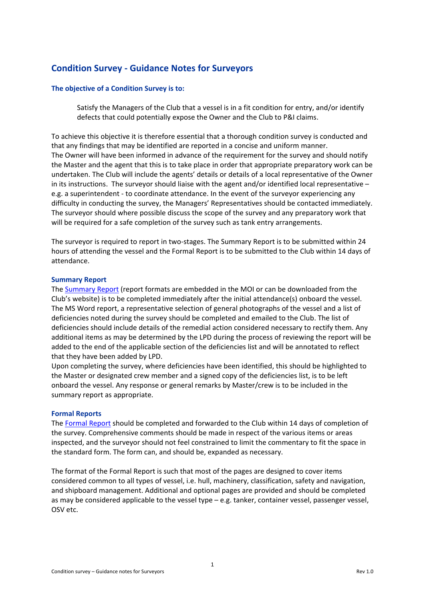## **Condition Survey - Guidance Notes for Surveyors**

## **The objective of a Condition Survey is to:**

Satisfy the Managers of the Club that a vessel is in a fit condition for entry, and/or identify defects that could potentially expose the Owner and the Club to P&I claims.

To achieve this objective it is therefore essential that a thorough condition survey is conducted and that any findings that may be identified are reported in a concise and uniform manner. The Owner will have been informed in advance of the requirement for the survey and should notify the Master and the agent that this is to take place in order that appropriate preparatory work can be undertaken. The Club will include the agents' details or details of a local representative of the Owner in its instructions. The surveyor should liaise with the agent and/or identified local representative – e.g. a superintendent - to coordinate attendance. In the event of the surveyor experiencing any difficulty in conducting the survey, the Managers' Representatives should be contacted immediately. The surveyor should where possible discuss the scope of the survey and any preparatory work that will be required for a safe completion of the survey such as tank entry arrangements.

The surveyor is required to report in two-stages. The Summary Report is to be submitted within 24 hours of attending the vessel and the Formal Report is to be submitted to the Club within 14 days of attendance.

## **Summary Report**

The [Summary Report](https://www.steamshipmutual.com/Downloads/Loss-Prevention-Survey-Reports/Summary%20Condition%20Survey%20Report.pdf) (report formats are embedded in the MOI or can be downloaded from the Club's website) is to be completed immediately after the initial attendance(s) onboard the vessel. The MS Word report, a representative selection of general photographs of the vessel and a list of deficiencies noted during the survey should be completed and emailed to the Club. The list of deficiencies should include details of the remedial action considered necessary to rectify them. Any additional items as may be determined by the LPD during the process of reviewing the report will be added to the end of the applicable section of the deficiencies list and will be annotated to reflect that they have been added by LPD.

Upon completing the survey, where deficiencies have been identified, this should be highlighted to the Master or designated crew member and a signed copy of the deficiencies list, is to be left onboard the vessel. Any response or general remarks by Master/crew is to be included in the summary report as appropriate.

## **Formal Reports**

The [Formal Report](https://www.steamshipmutual.com/Downloads/Loss-Prevention-Survey-Reports/Full%20Condition%20Survey%20Report.pdf) should be completed and forwarded to the Club within 14 days of completion of the survey. Comprehensive comments should be made in respect of the various items or areas inspected, and the surveyor should not feel constrained to limit the commentary to fit the space in the standard form. The form can, and should be, expanded as necessary.

The format of the Formal Report is such that most of the pages are designed to cover items considered common to all types of vessel, i.e. hull, machinery, classification, safety and navigation, and shipboard management. Additional and optional pages are provided and should be completed as may be considered applicable to the vessel type – e.g. tanker, container vessel, passenger vessel, OSV etc.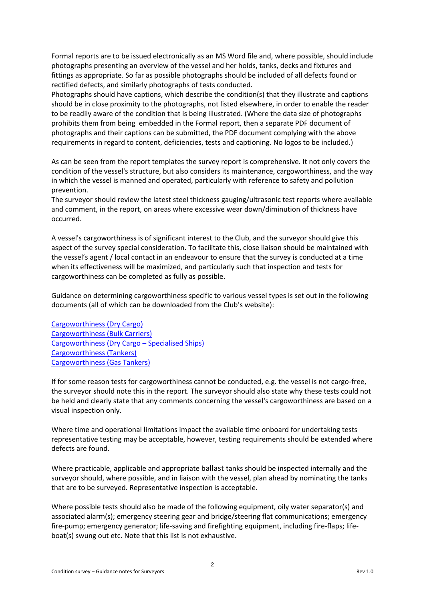Formal reports are to be issued electronically as an MS Word file and, where possible, should include photographs presenting an overview of the vessel and her holds, tanks, decks and fixtures and fittings as appropriate. So far as possible photographs should be included of all defects found or rectified defects, and similarly photographs of tests conducted.

Photographs should have captions, which describe the condition(s) that they illustrate and captions should be in close proximity to the photographs, not listed elsewhere, in order to enable the reader to be readily aware of the condition that is being illustrated. (Where the data size of photographs prohibits them from being embedded in the Formal report, then a separate PDF document of photographs and their captions can be submitted, the PDF document complying with the above requirements in regard to content, deficiencies, tests and captioning. No logos to be included.)

As can be seen from the report templates the survey report is comprehensive. It not only covers the condition of the vessel's structure, but also considers its maintenance, cargoworthiness, and the way in which the vessel is manned and operated, particularly with reference to safety and pollution prevention.

The surveyor should review the latest steel thickness gauging/ultrasonic test reports where available and comment, in the report, on areas where excessive wear down/diminution of thickness have occurred.

A vessel's cargoworthiness is of significant interest to the Club, and the surveyor should give this aspect of the survey special consideration. To facilitate this, close liaison should be maintained with the vessel's agent / local contact in an endeavour to ensure that the survey is conducted at a time when its effectiveness will be maximized, and particularly such that inspection and tests for cargoworthiness can be completed as fully as possible.

Guidance on determining cargoworthiness specific to various vessel types is set out in the following documents (all of which can be downloaded from the Club's website):

[Cargoworthiness \(Dry Cargo\)](https://www.steamshipmutual.com/Downloads/Loss-Prevention-Survey-Reports/Cargoworthiness%20-%20Dry%20Cargo.pdf) [Cargoworthiness \(Bulk Carriers\)](https://www.steamshipmutual.com/Downloads/Loss-Prevention-Survey-Reports/Cargoworthiness%20-%20Bulk%20Carriers.pdf) [Cargoworthiness \(Dry Cargo](https://www.steamshipmutual.com/Downloads/Loss-Prevention-Survey-Reports/Cargoworthiness%20-%20Dry%20Cargo%20-%20Specialised.pdf) – Specialised Ships) [Cargoworthiness \(Tankers\)](https://www.steamshipmutual.com/Downloads/Loss-Prevention-Survey-Reports/Cargoworthiness%20-%20Tankers.pdf) [Cargoworthiness \(Gas Tankers\)](https://www.steamshipmutual.com/Downloads/Loss-Prevention-Survey-Reports/Cargoworthiness%20-%20Gas%20Tankers.pdf)

If for some reason tests for cargoworthiness cannot be conducted, e.g. the vessel is not cargo-free, the surveyor should note this in the report. The surveyor should also state why these tests could not be held and clearly state that any comments concerning the vessel's cargoworthiness are based on a visual inspection only.

Where time and operational limitations impact the available time onboard for undertaking tests representative testing may be acceptable, however, testing requirements should be extended where defects are found.

Where practicable, applicable and appropriate ballast tanks should be inspected internally and the surveyor should, where possible, and in liaison with the vessel, plan ahead by nominating the tanks that are to be surveyed. Representative inspection is acceptable.

Where possible tests should also be made of the following equipment, oily water separator(s) and associated alarm(s); emergency steering gear and bridge/steering flat communications; emergency fire-pump; emergency generator; life-saving and firefighting equipment, including fire-flaps; lifeboat(s) swung out etc. Note that this list is not exhaustive.